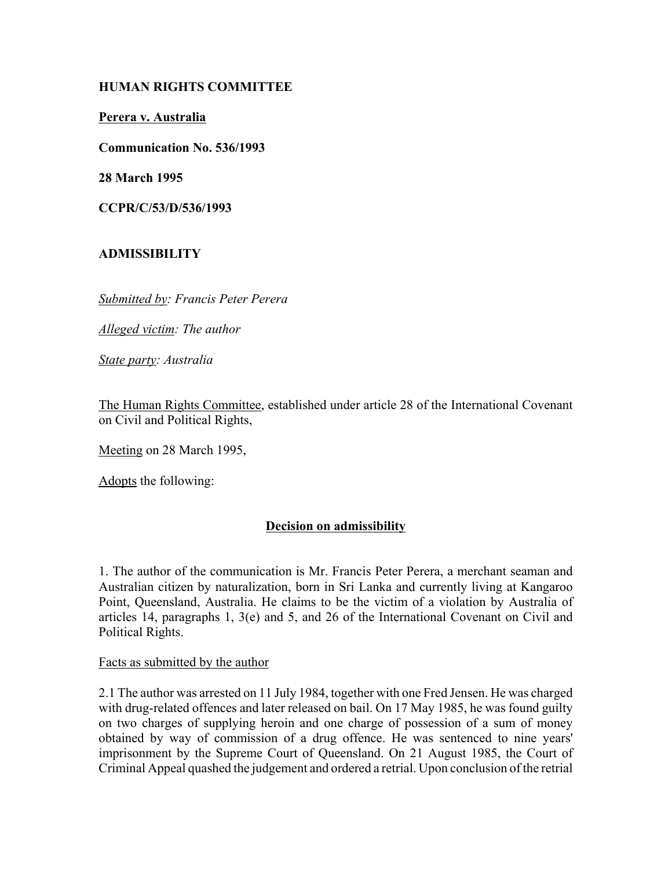## **HUMAN RIGHTS COMMITTEE**

#### **Perera v. Australia**

**Communication No. 536/1993**

**28 March 1995**

**CCPR/C/53/D/536/1993** 

# **ADMISSIBILITY**

*Submitted by: Francis Peter Perera* 

*Alleged victim: The author* 

*State party: Australia* 

The Human Rights Committee, established under article 28 of the International Covenant on Civil and Political Rights,

Meeting on 28 March 1995,

Adopts the following:

## **Decision on admissibility**

1. The author of the communication is Mr. Francis Peter Perera, a merchant seaman and Australian citizen by naturalization, born in Sri Lanka and currently living at Kangaroo Point, Queensland, Australia. He claims to be the victim of a violation by Australia of articles 14, paragraphs 1, 3(e) and 5, and 26 of the International Covenant on Civil and Political Rights.

Facts as submitted by the author

2.1 The author was arrested on 11 July 1984, together with one Fred Jensen. He was charged with drug-related offences and later released on bail. On 17 May 1985, he was found guilty on two charges of supplying heroin and one charge of possession of a sum of money obtained by way of commission of a drug offence. He was sentenced to nine years' imprisonment by the Supreme Court of Queensland. On 21 August 1985, the Court of Criminal Appeal quashed the judgement and ordered a retrial. Upon conclusion of the retrial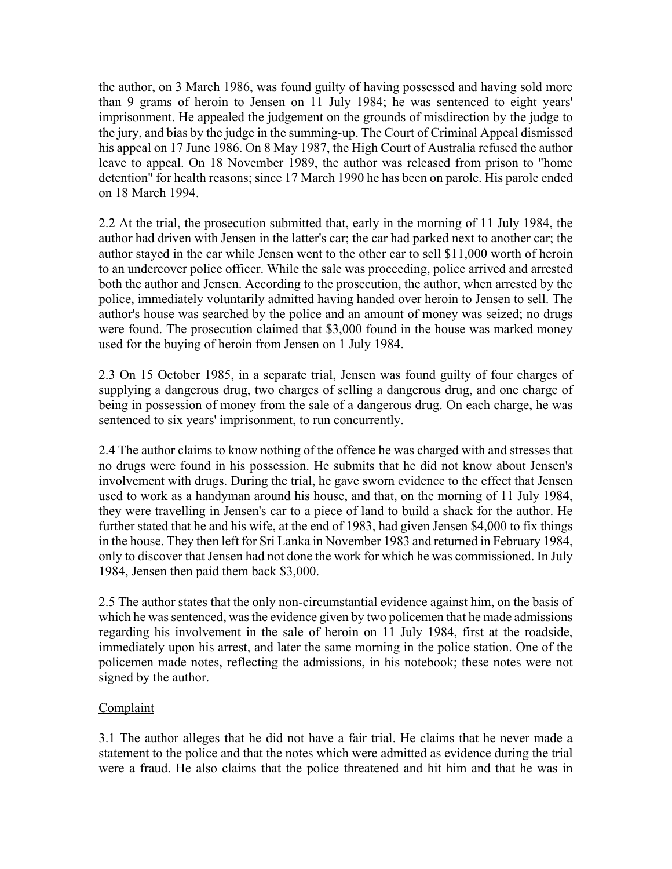the author, on 3 March 1986, was found guilty of having possessed and having sold more than 9 grams of heroin to Jensen on 11 July 1984; he was sentenced to eight years' imprisonment. He appealed the judgement on the grounds of misdirection by the judge to the jury, and bias by the judge in the summing-up. The Court of Criminal Appeal dismissed his appeal on 17 June 1986. On 8 May 1987, the High Court of Australia refused the author leave to appeal. On 18 November 1989, the author was released from prison to "home detention" for health reasons; since 17 March 1990 he has been on parole. His parole ended on 18 March 1994.

2.2 At the trial, the prosecution submitted that, early in the morning of 11 July 1984, the author had driven with Jensen in the latter's car; the car had parked next to another car; the author stayed in the car while Jensen went to the other car to sell \$11,000 worth of heroin to an undercover police officer. While the sale was proceeding, police arrived and arrested both the author and Jensen. According to the prosecution, the author, when arrested by the police, immediately voluntarily admitted having handed over heroin to Jensen to sell. The author's house was searched by the police and an amount of money was seized; no drugs were found. The prosecution claimed that \$3,000 found in the house was marked money used for the buying of heroin from Jensen on 1 July 1984.

2.3 On 15 October 1985, in a separate trial, Jensen was found guilty of four charges of supplying a dangerous drug, two charges of selling a dangerous drug, and one charge of being in possession of money from the sale of a dangerous drug. On each charge, he was sentenced to six years' imprisonment, to run concurrently.

2.4 The author claims to know nothing of the offence he was charged with and stresses that no drugs were found in his possession. He submits that he did not know about Jensen's involvement with drugs. During the trial, he gave sworn evidence to the effect that Jensen used to work as a handyman around his house, and that, on the morning of 11 July 1984, they were travelling in Jensen's car to a piece of land to build a shack for the author. He further stated that he and his wife, at the end of 1983, had given Jensen \$4,000 to fix things in the house. They then left for Sri Lanka in November 1983 and returned in February 1984, only to discover that Jensen had not done the work for which he was commissioned. In July 1984, Jensen then paid them back \$3,000.

2.5 The author states that the only non-circumstantial evidence against him, on the basis of which he was sentenced, was the evidence given by two policemen that he made admissions regarding his involvement in the sale of heroin on 11 July 1984, first at the roadside, immediately upon his arrest, and later the same morning in the police station. One of the policemen made notes, reflecting the admissions, in his notebook; these notes were not signed by the author.

## Complaint

3.1 The author alleges that he did not have a fair trial. He claims that he never made a statement to the police and that the notes which were admitted as evidence during the trial were a fraud. He also claims that the police threatened and hit him and that he was in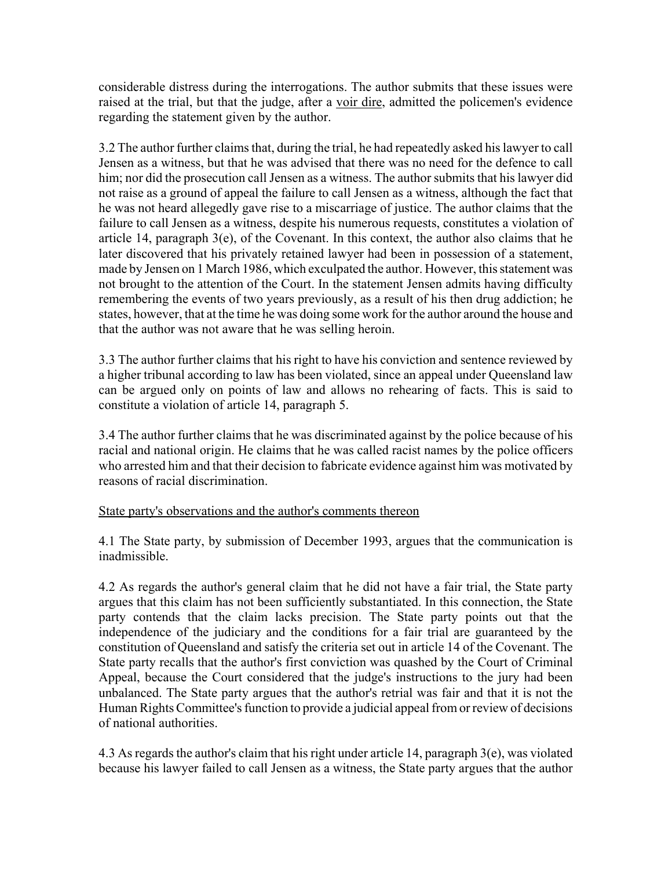considerable distress during the interrogations. The author submits that these issues were raised at the trial, but that the judge, after a voir dire, admitted the policemen's evidence regarding the statement given by the author.

3.2 The author further claims that, during the trial, he had repeatedly asked his lawyer to call Jensen as a witness, but that he was advised that there was no need for the defence to call him; nor did the prosecution call Jensen as a witness. The author submits that his lawyer did not raise as a ground of appeal the failure to call Jensen as a witness, although the fact that he was not heard allegedly gave rise to a miscarriage of justice. The author claims that the failure to call Jensen as a witness, despite his numerous requests, constitutes a violation of article 14, paragraph  $3(e)$ , of the Covenant. In this context, the author also claims that he later discovered that his privately retained lawyer had been in possession of a statement, made by Jensen on 1 March 1986, which exculpated the author. However, this statement was not brought to the attention of the Court. In the statement Jensen admits having difficulty remembering the events of two years previously, as a result of his then drug addiction; he states, however, that at the time he was doing some work for the author around the house and that the author was not aware that he was selling heroin.

3.3 The author further claims that his right to have his conviction and sentence reviewed by a higher tribunal according to law has been violated, since an appeal under Queensland law can be argued only on points of law and allows no rehearing of facts. This is said to constitute a violation of article 14, paragraph 5.

3.4 The author further claims that he was discriminated against by the police because of his racial and national origin. He claims that he was called racist names by the police officers who arrested him and that their decision to fabricate evidence against him was motivated by reasons of racial discrimination.

#### State party's observations and the author's comments thereon

4.1 The State party, by submission of December 1993, argues that the communication is inadmissible.

4.2 As regards the author's general claim that he did not have a fair trial, the State party argues that this claim has not been sufficiently substantiated. In this connection, the State party contends that the claim lacks precision. The State party points out that the independence of the judiciary and the conditions for a fair trial are guaranteed by the constitution of Queensland and satisfy the criteria set out in article 14 of the Covenant. The State party recalls that the author's first conviction was quashed by the Court of Criminal Appeal, because the Court considered that the judge's instructions to the jury had been unbalanced. The State party argues that the author's retrial was fair and that it is not the Human Rights Committee's function to provide a judicial appeal from or review of decisions of national authorities.

4.3 As regards the author's claim that his right under article 14, paragraph 3(e), was violated because his lawyer failed to call Jensen as a witness, the State party argues that the author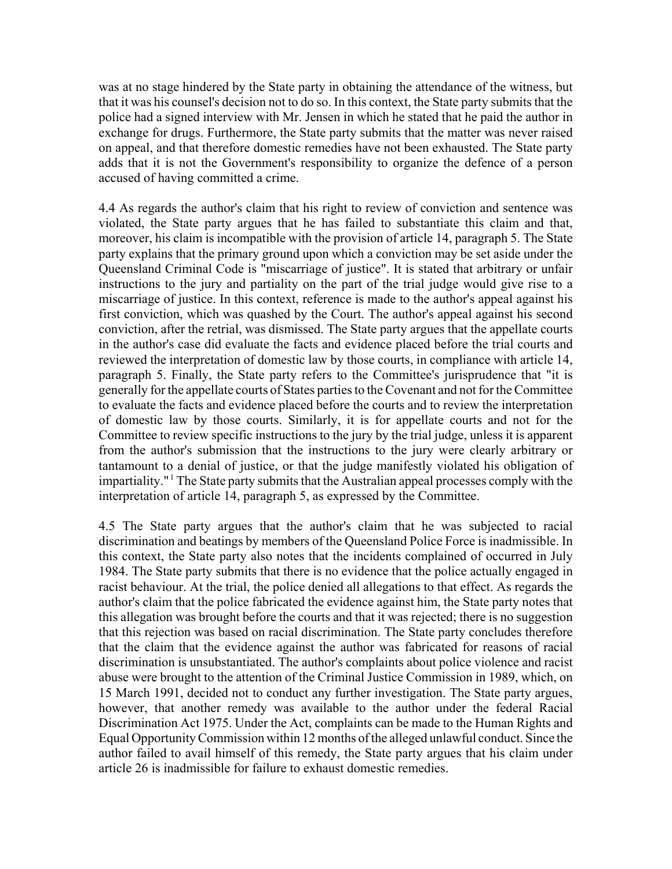was at no stage hindered by the State party in obtaining the attendance of the witness, but that it was his counsel's decision not to do so. In this context, the State party submits that the police had a signed interview with Mr. Jensen in which he stated that he paid the author in exchange for drugs. Furthermore, the State party submits that the matter was never raised on appeal, and that therefore domestic remedies have not been exhausted. The State party adds that it is not the Government's responsibility to organize the defence of a person accused of having committed a crime.

4.4 As regards the author's claim that his right to review of conviction and sentence was violated, the State party argues that he has failed to substantiate this claim and that, moreover, his claim is incompatible with the provision of article 14, paragraph 5. The State party explains that the primary ground upon which a conviction may be set aside under the Queensland Criminal Code is "miscarriage of justice". It is stated that arbitrary or unfair instructions to the jury and partiality on the part of the trial judge would give rise to a miscarriage of justice. In this context, reference is made to the author's appeal against his first conviction, which was quashed by the Court. The author's appeal against his second conviction, after the retrial, was dismissed. The State party argues that the appellate courts in the author's case did evaluate the facts and evidence placed before the trial courts and reviewed the interpretation of domestic law by those courts, in compliance with article 14, paragraph 5. Finally, the State party refers to the Committee's jurisprudence that "it is generally for the appellate courts of States parties to the Covenant and not for the Committee to evaluate the facts and evidence placed before the courts and to review the interpretation of domestic law by those courts. Similarly, it is for appellate courts and not for the Committee to review specific instructions to the jury by the trial judge, unless it is apparent from the author's submission that the instructions to the jury were clearly arbitrary or tantamount to a denial of justice, or that the judge manifestly violated his obligation of impartiality."<sup>1</sup> The State party submits that the Australian appeal processes comply with the interpretation of article 14, paragraph 5, as expressed by the Committee.

4.5 The State party argues that the author's claim that he was subjected to racial discrimination and beatings by members of the Queensland Police Force is inadmissible. In this context, the State party also notes that the incidents complained of occurred in July 1984. The State party submits that there is no evidence that the police actually engaged in racist behaviour. At the trial, the police denied all allegations to that effect. As regards the author's claim that the police fabricated the evidence against him, the State party notes that this allegation was brought before the courts and that it was rejected; there is no suggestion that this rejection was based on racial discrimination. The State party concludes therefore that the claim that the evidence against the author was fabricated for reasons of racial discrimination is unsubstantiated. The author's complaints about police violence and racist abuse were brought to the attention of the Criminal Justice Commission in 1989, which, on 15 March 1991, decided not to conduct any further investigation. The State party argues, however, that another remedy was available to the author under the federal Racial Discrimination Act 1975. Under the Act, complaints can be made to the Human Rights and Equal Opportunity Commission within 12 months of the alleged unlawful conduct. Since the author failed to avail himself of this remedy, the State party argues that his claim under article 26 is inadmissible for failure to exhaust domestic remedies.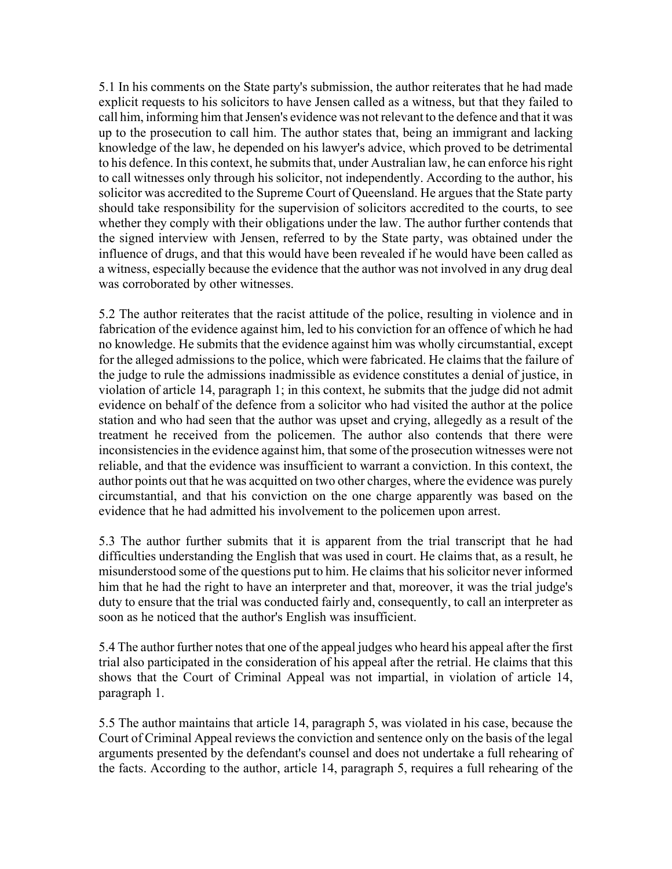5.1 In his comments on the State party's submission, the author reiterates that he had made explicit requests to his solicitors to have Jensen called as a witness, but that they failed to call him, informing him that Jensen's evidence was not relevant to the defence and that it was up to the prosecution to call him. The author states that, being an immigrant and lacking knowledge of the law, he depended on his lawyer's advice, which proved to be detrimental to his defence. In this context, he submits that, under Australian law, he can enforce his right to call witnesses only through his solicitor, not independently. According to the author, his solicitor was accredited to the Supreme Court of Queensland. He argues that the State party should take responsibility for the supervision of solicitors accredited to the courts, to see whether they comply with their obligations under the law. The author further contends that the signed interview with Jensen, referred to by the State party, was obtained under the influence of drugs, and that this would have been revealed if he would have been called as a witness, especially because the evidence that the author was not involved in any drug deal was corroborated by other witnesses.

5.2 The author reiterates that the racist attitude of the police, resulting in violence and in fabrication of the evidence against him, led to his conviction for an offence of which he had no knowledge. He submits that the evidence against him was wholly circumstantial, except for the alleged admissions to the police, which were fabricated. He claims that the failure of the judge to rule the admissions inadmissible as evidence constitutes a denial of justice, in violation of article 14, paragraph 1; in this context, he submits that the judge did not admit evidence on behalf of the defence from a solicitor who had visited the author at the police station and who had seen that the author was upset and crying, allegedly as a result of the treatment he received from the policemen. The author also contends that there were inconsistencies in the evidence against him, that some of the prosecution witnesses were not reliable, and that the evidence was insufficient to warrant a conviction. In this context, the author points out that he was acquitted on two other charges, where the evidence was purely circumstantial, and that his conviction on the one charge apparently was based on the evidence that he had admitted his involvement to the policemen upon arrest.

5.3 The author further submits that it is apparent from the trial transcript that he had difficulties understanding the English that was used in court. He claims that, as a result, he misunderstood some of the questions put to him. He claims that his solicitor never informed him that he had the right to have an interpreter and that, moreover, it was the trial judge's duty to ensure that the trial was conducted fairly and, consequently, to call an interpreter as soon as he noticed that the author's English was insufficient.

5.4 The author further notes that one of the appeal judges who heard his appeal after the first trial also participated in the consideration of his appeal after the retrial. He claims that this shows that the Court of Criminal Appeal was not impartial, in violation of article 14, paragraph 1.

5.5 The author maintains that article 14, paragraph 5, was violated in his case, because the Court of Criminal Appeal reviews the conviction and sentence only on the basis of the legal arguments presented by the defendant's counsel and does not undertake a full rehearing of the facts. According to the author, article 14, paragraph 5, requires a full rehearing of the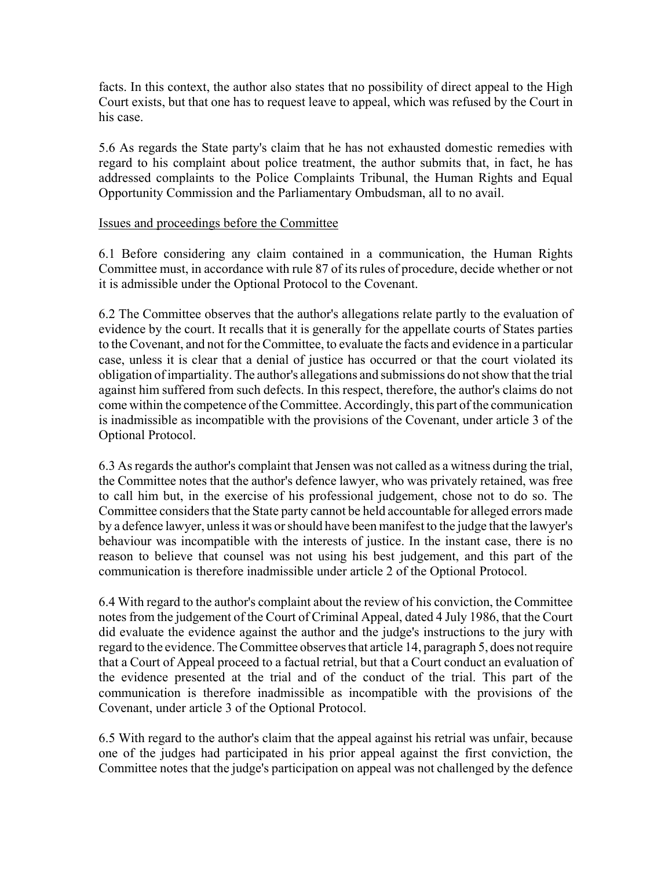facts. In this context, the author also states that no possibility of direct appeal to the High Court exists, but that one has to request leave to appeal, which was refused by the Court in his case.

5.6 As regards the State party's claim that he has not exhausted domestic remedies with regard to his complaint about police treatment, the author submits that, in fact, he has addressed complaints to the Police Complaints Tribunal, the Human Rights and Equal Opportunity Commission and the Parliamentary Ombudsman, all to no avail.

#### Issues and proceedings before the Committee

6.1 Before considering any claim contained in a communication, the Human Rights Committee must, in accordance with rule 87 of its rules of procedure, decide whether or not it is admissible under the Optional Protocol to the Covenant.

6.2 The Committee observes that the author's allegations relate partly to the evaluation of evidence by the court. It recalls that it is generally for the appellate courts of States parties to the Covenant, and not for the Committee, to evaluate the facts and evidence in a particular case, unless it is clear that a denial of justice has occurred or that the court violated its obligation of impartiality. The author's allegations and submissions do not show that the trial against him suffered from such defects. In this respect, therefore, the author's claims do not come within the competence of the Committee. Accordingly, this part of the communication is inadmissible as incompatible with the provisions of the Covenant, under article 3 of the Optional Protocol.

6.3 As regards the author's complaint that Jensen was not called as a witness during the trial, the Committee notes that the author's defence lawyer, who was privately retained, was free to call him but, in the exercise of his professional judgement, chose not to do so. The Committee considers that the State party cannot be held accountable for alleged errors made by a defence lawyer, unless it was or should have been manifest to the judge that the lawyer's behaviour was incompatible with the interests of justice. In the instant case, there is no reason to believe that counsel was not using his best judgement, and this part of the communication is therefore inadmissible under article 2 of the Optional Protocol.

6.4 With regard to the author's complaint about the review of his conviction, the Committee notes from the judgement of the Court of Criminal Appeal, dated 4 July 1986, that the Court did evaluate the evidence against the author and the judge's instructions to the jury with regard to the evidence. The Committee observes that article 14, paragraph 5, does not require that a Court of Appeal proceed to a factual retrial, but that a Court conduct an evaluation of the evidence presented at the trial and of the conduct of the trial. This part of the communication is therefore inadmissible as incompatible with the provisions of the Covenant, under article 3 of the Optional Protocol.

6.5 With regard to the author's claim that the appeal against his retrial was unfair, because one of the judges had participated in his prior appeal against the first conviction, the Committee notes that the judge's participation on appeal was not challenged by the defence